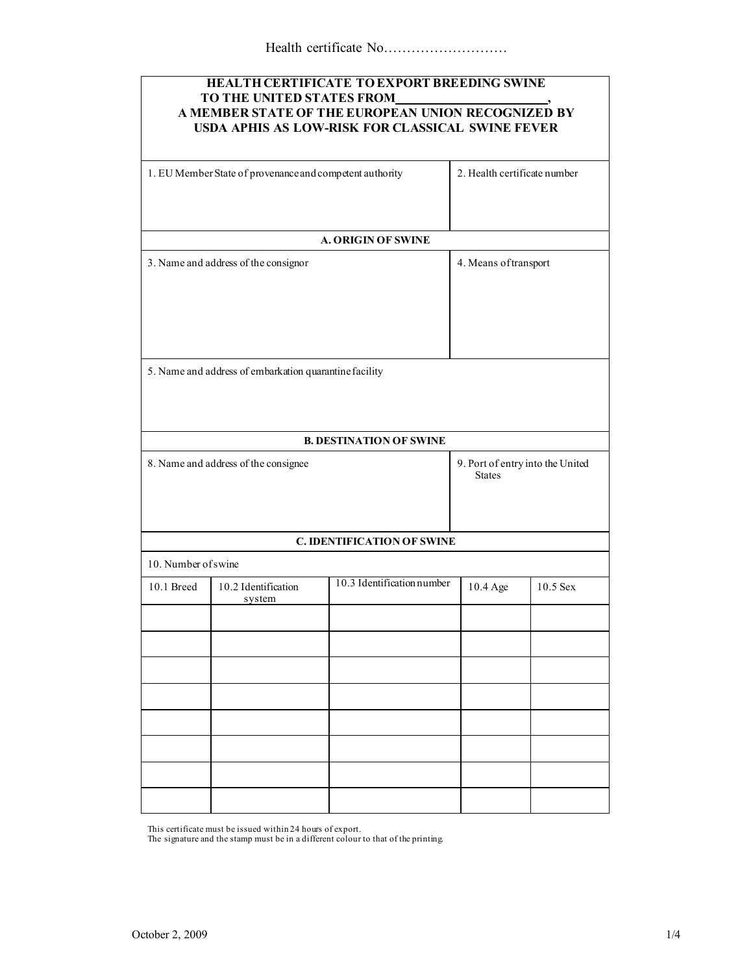| <b>HEALTH CERTIFICATE TO EXPORT BREEDING SWINE</b><br>TO THE UNITED STATES FROM<br>A MEMBER STATE OF THE EUROPEAN UNION RECOGNIZED BY<br>USDA APHIS AS LOW-RISK FOR CLASSICAL SWINE FEVER |                               |                                   |                                                   |            |  |
|-------------------------------------------------------------------------------------------------------------------------------------------------------------------------------------------|-------------------------------|-----------------------------------|---------------------------------------------------|------------|--|
| 1. EU Member State of provenance and competent authority                                                                                                                                  |                               | 2. Health certificate number      |                                                   |            |  |
|                                                                                                                                                                                           |                               | <b>A. ORIGIN OF SWINE</b>         |                                                   |            |  |
| 3. Name and address of the consignor                                                                                                                                                      |                               |                                   | 4. Means of transport                             |            |  |
| 5. Name and address of embarkation quarantine facility                                                                                                                                    |                               |                                   |                                                   |            |  |
|                                                                                                                                                                                           |                               | <b>B. DESTINATION OF SWINE</b>    |                                                   |            |  |
| 8. Name and address of the consignee                                                                                                                                                      |                               |                                   | 9. Port of entry into the United<br><b>States</b> |            |  |
|                                                                                                                                                                                           |                               | <b>C. IDENTIFICATION OF SWINE</b> |                                                   |            |  |
| 10. Number of swine                                                                                                                                                                       |                               |                                   |                                                   |            |  |
| 10.1 Breed                                                                                                                                                                                | 10.2 Identification<br>system | 10.3 Identification number        | 10.4 Age                                          | $10.5$ Sex |  |
|                                                                                                                                                                                           |                               |                                   |                                                   |            |  |
|                                                                                                                                                                                           |                               |                                   |                                                   |            |  |
|                                                                                                                                                                                           |                               |                                   |                                                   |            |  |
|                                                                                                                                                                                           |                               |                                   |                                                   |            |  |
|                                                                                                                                                                                           |                               |                                   |                                                   |            |  |
|                                                                                                                                                                                           |                               |                                   |                                                   |            |  |
|                                                                                                                                                                                           |                               |                                   |                                                   |            |  |
|                                                                                                                                                                                           |                               |                                   |                                                   |            |  |

This certificate must be issued within 24 hours of export. The signature and the stamp must be in a different colour to that of the printing*.*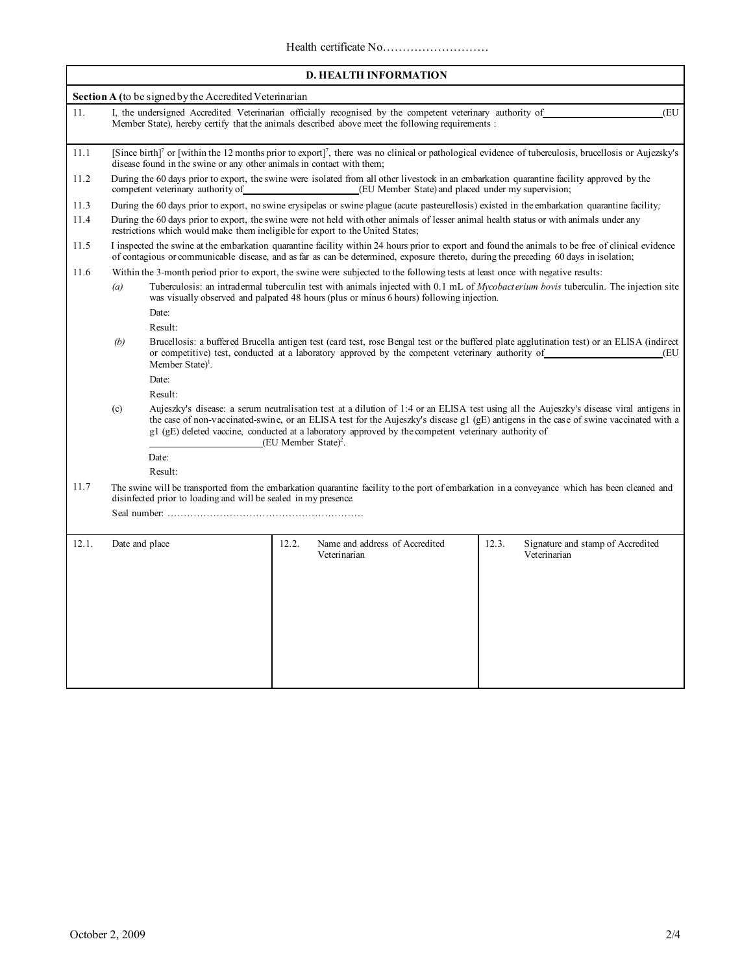| <b>D. HEALTH INFORMATION</b> |                                                                                                                                                                                                                                                                                               |                                                                                                                                                                                                                                                                                                                                                                                                                               |                                                                                                                                                                                                                                   |                                                            |  |  |
|------------------------------|-----------------------------------------------------------------------------------------------------------------------------------------------------------------------------------------------------------------------------------------------------------------------------------------------|-------------------------------------------------------------------------------------------------------------------------------------------------------------------------------------------------------------------------------------------------------------------------------------------------------------------------------------------------------------------------------------------------------------------------------|-----------------------------------------------------------------------------------------------------------------------------------------------------------------------------------------------------------------------------------|------------------------------------------------------------|--|--|
|                              |                                                                                                                                                                                                                                                                                               | Section A (to be signed by the Accredited Veterinarian                                                                                                                                                                                                                                                                                                                                                                        |                                                                                                                                                                                                                                   |                                                            |  |  |
| 11.                          | I, the undersigned Accredited Veterinarian officially recognised by the competent veterinary authority of<br>(EU<br>Member State), hereby certify that the animals described above meet the following requirements :                                                                          |                                                                                                                                                                                                                                                                                                                                                                                                                               |                                                                                                                                                                                                                                   |                                                            |  |  |
| 11.1                         |                                                                                                                                                                                                                                                                                               | [Since birth] <sup>7</sup> or [within the 12 months prior to export] <sup>7</sup> , there was no clinical or pathological evidence of tuberculosis, brucellosis or Aujezsky's<br>disease found in the swine or any other animals in contact with them;                                                                                                                                                                        |                                                                                                                                                                                                                                   |                                                            |  |  |
| 11.2                         | During the 60 days prior to export, the swine were isolated from all other livestock in an embarkation quarantine facility approved by the<br>(EU Member State) and placed under my supervision;<br>competent veterinary authority of                                                         |                                                                                                                                                                                                                                                                                                                                                                                                                               |                                                                                                                                                                                                                                   |                                                            |  |  |
| 11.3                         | During the 60 days prior to export, no swine erysipelas or swine plague (acute pasteurellosis) existed in the embarkation quarantine facility;                                                                                                                                                |                                                                                                                                                                                                                                                                                                                                                                                                                               |                                                                                                                                                                                                                                   |                                                            |  |  |
| 11.4                         |                                                                                                                                                                                                                                                                                               | During the 60 days prior to export, the swine were not held with other animals of lesser animal health status or with animals under any<br>restrictions which would make them ineligible for export to the United States;                                                                                                                                                                                                     |                                                                                                                                                                                                                                   |                                                            |  |  |
| 11.5                         |                                                                                                                                                                                                                                                                                               | I inspected the swine at the embarkation quarantine facility within 24 hours prior to export and found the animals to be free of clinical evidence<br>of contagious or communicable disease, and as far as can be determined, exposure thereto, during the preceding 60 days in isolation;                                                                                                                                    |                                                                                                                                                                                                                                   |                                                            |  |  |
| 11.6                         |                                                                                                                                                                                                                                                                                               |                                                                                                                                                                                                                                                                                                                                                                                                                               | Within the 3-month period prior to export, the swine were subjected to the following tests at least once with negative results:                                                                                                   |                                                            |  |  |
|                              | (a)                                                                                                                                                                                                                                                                                           |                                                                                                                                                                                                                                                                                                                                                                                                                               | Tuberculosis: an intradermal tuberculin test with animals injected with 0.1 mL of Mycobact erium bovis tuberculin. The injection site<br>was visually observed and palpated 48 hours (plus or minus 6 hours) following injection. |                                                            |  |  |
|                              |                                                                                                                                                                                                                                                                                               | Date:                                                                                                                                                                                                                                                                                                                                                                                                                         |                                                                                                                                                                                                                                   |                                                            |  |  |
|                              |                                                                                                                                                                                                                                                                                               | Result:                                                                                                                                                                                                                                                                                                                                                                                                                       |                                                                                                                                                                                                                                   |                                                            |  |  |
|                              | Brucellosis: a buffered Brucella antigen test (card test, rose Bengal test or the buffered plate agglutination test) or an ELISA (indirect<br>(b)<br>or competitive) test, conducted at a laboratory approved by the competent veterinary authority of<br>(EU<br>Member State) <sup>1</sup> . |                                                                                                                                                                                                                                                                                                                                                                                                                               |                                                                                                                                                                                                                                   |                                                            |  |  |
|                              |                                                                                                                                                                                                                                                                                               | Date:                                                                                                                                                                                                                                                                                                                                                                                                                         |                                                                                                                                                                                                                                   |                                                            |  |  |
|                              |                                                                                                                                                                                                                                                                                               | Result:                                                                                                                                                                                                                                                                                                                                                                                                                       |                                                                                                                                                                                                                                   |                                                            |  |  |
|                              | (c)                                                                                                                                                                                                                                                                                           | Aujeszky's disease: a serum neutralisation test at a dilution of 1:4 or an ELISA test using all the Aujeszky's disease viral antigens in<br>the case of non-vaccinated-swine, or an ELISA test for the Aujeszky's disease g1 (gE) antigens in the case of swine vaccinated with a<br>g1 (gE) deleted vaccine, conducted at a laboratory approved by the competent veterinary authority of<br>(EU Member State) <sup>2</sup> . |                                                                                                                                                                                                                                   |                                                            |  |  |
|                              |                                                                                                                                                                                                                                                                                               | Date:                                                                                                                                                                                                                                                                                                                                                                                                                         |                                                                                                                                                                                                                                   |                                                            |  |  |
|                              |                                                                                                                                                                                                                                                                                               | Result:                                                                                                                                                                                                                                                                                                                                                                                                                       |                                                                                                                                                                                                                                   |                                                            |  |  |
| 11.7                         | The swine will be transported from the embarkation quarantine facility to the port of embarkation in a conveyance which has been cleaned and<br>disinfected prior to loading and will be sealed in my presence.                                                                               |                                                                                                                                                                                                                                                                                                                                                                                                                               |                                                                                                                                                                                                                                   |                                                            |  |  |
|                              |                                                                                                                                                                                                                                                                                               |                                                                                                                                                                                                                                                                                                                                                                                                                               |                                                                                                                                                                                                                                   |                                                            |  |  |
| 12.1.                        | Date and place                                                                                                                                                                                                                                                                                |                                                                                                                                                                                                                                                                                                                                                                                                                               | Name and address of Accredited<br>12.2.<br>Veterinarian                                                                                                                                                                           | 12.3.<br>Signature and stamp of Accredited<br>Veterinarian |  |  |
|                              |                                                                                                                                                                                                                                                                                               |                                                                                                                                                                                                                                                                                                                                                                                                                               |                                                                                                                                                                                                                                   |                                                            |  |  |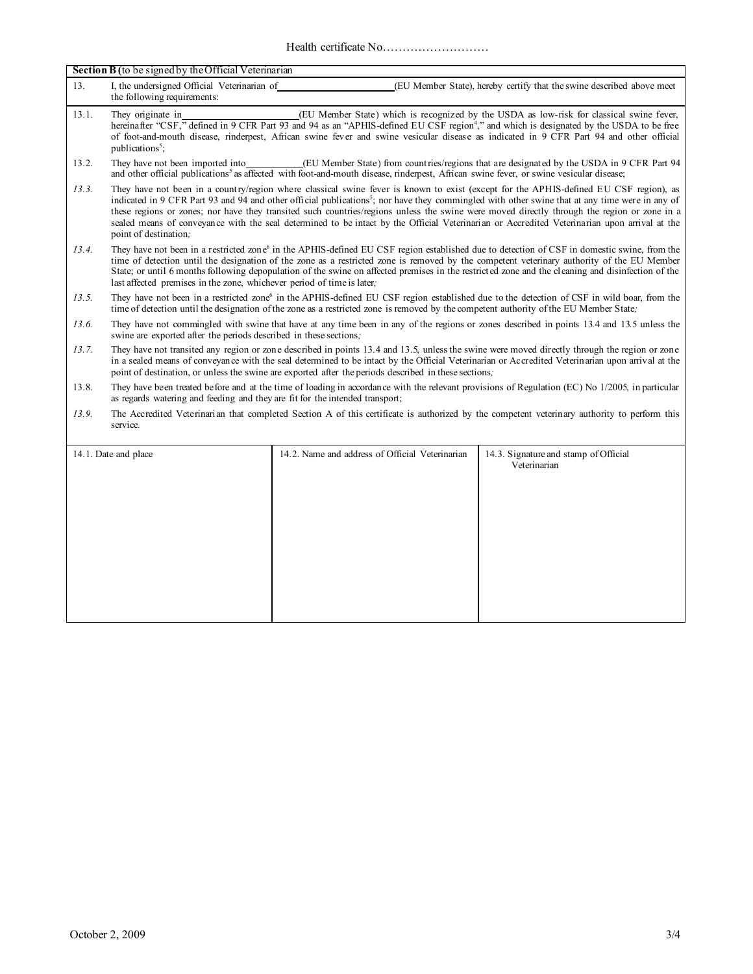Health certificate No………………………

| Section B (to be signed by the Official Veterinarian |                                                                                                                                                                                                                                                                                                                                                                                                                                                                                                                                                                                                                             |                                                 |                                                                       |  |
|------------------------------------------------------|-----------------------------------------------------------------------------------------------------------------------------------------------------------------------------------------------------------------------------------------------------------------------------------------------------------------------------------------------------------------------------------------------------------------------------------------------------------------------------------------------------------------------------------------------------------------------------------------------------------------------------|-------------------------------------------------|-----------------------------------------------------------------------|--|
| 13.                                                  | I, the undersigned Official Veterinarian of<br>the following requirements:                                                                                                                                                                                                                                                                                                                                                                                                                                                                                                                                                  |                                                 | (EU Member State), hereby certify that the swine described above meet |  |
| 13.1.                                                | (EU Member State) which is recognized by the USDA as low-risk for classical swine fever,<br>They originate in<br>hereinafter "CSF," defined in 9 CFR Part 93 and 94 as an "APHIS-defined EU CSF region <sup>4</sup> ," and which is designated by the USDA to be free<br>of foot-and-mouth disease, rinderpest, African swine fever and swine vesicular disease as indicated in 9 CFR Part 94 and other official<br>publications <sup>5</sup> ;                                                                                                                                                                             |                                                 |                                                                       |  |
| 13.2.                                                | They have not been imported into<br>(EU Member State) from count ries/regions that are designated by the USDA in 9 CFR Part 94<br>and other official publications <sup>5</sup> as affected with foot-and-mouth disease, rinderpest, African swine fever, or swine vesicular disease;                                                                                                                                                                                                                                                                                                                                        |                                                 |                                                                       |  |
| 13.3.                                                | They have not been in a country/region where classical swine fever is known to exist (except for the APHIS-defined EU CSF region), as<br>indicated in 9 CFR Part 93 and 94 and other official publications <sup>5</sup> ; nor have they commingled with other swine that at any time were in any of<br>these regions or zones; nor have they transited such countries/regions unless the swine were moved directly through the region or zone in a<br>sealed means of conveyance with the seal determined to be intact by the Official Veterinarian or Accredited Veterinarian upon arrival at the<br>point of destination, |                                                 |                                                                       |  |
| 13.4.                                                | They have not been in a restricted zone <sup>6</sup> in the APHIS-defined EU CSF region established due to detection of CSF in domestic swine, from the<br>time of detection until the designation of the zone as a restricted zone is removed by the competent veterinary authority of the EU Member<br>State; or until 6 months following depopulation of the swine on affected premises in the restricted zone and the cleaning and disinfection of the<br>last affected premises in the zone, whichever period of time is later;                                                                                        |                                                 |                                                                       |  |
| 13.5.                                                | They have not been in a restricted zone <sup>6</sup> in the APHIS-defined EU CSF region established due to the detection of CSF in wild boar, from the<br>time of detection until the designation of the zone as a restricted zone is removed by the competent authority of the EU Member State;                                                                                                                                                                                                                                                                                                                            |                                                 |                                                                       |  |
| 13.6.                                                | They have not commingled with swine that have at any time been in any of the regions or zones described in points 13.4 and 13.5 unless the<br>swine are exported after the periods described in these sections;                                                                                                                                                                                                                                                                                                                                                                                                             |                                                 |                                                                       |  |
| 13.7.                                                | They have not transited any region or zone described in points 13.4 and 13.5, unless the swine were moved directly through the region or zone<br>in a sealed means of conveyance with the seal determined to be intact by the Official Veterinarian or Accredited Veterinarian upon arrival at the<br>point of destination, or unless the swine are exported after the periods described in these sections.                                                                                                                                                                                                                 |                                                 |                                                                       |  |
| 13.8.                                                | They have been treated before and at the time of loading in accordance with the relevant provisions of Regulation (EC) No 1/2005, in particular<br>as regards watering and feeding and they are fit for the intended transport;                                                                                                                                                                                                                                                                                                                                                                                             |                                                 |                                                                       |  |
| 13.9.                                                | The Accredited Veterinarian that completed Section A of this certificate is authorized by the competent veterinary authority to perform this<br>service.                                                                                                                                                                                                                                                                                                                                                                                                                                                                    |                                                 |                                                                       |  |
|                                                      | 14.1. Date and place                                                                                                                                                                                                                                                                                                                                                                                                                                                                                                                                                                                                        | 14.2. Name and address of Official Veterinarian | 14.3. Signature and stamp of Official<br>Veterinarian                 |  |